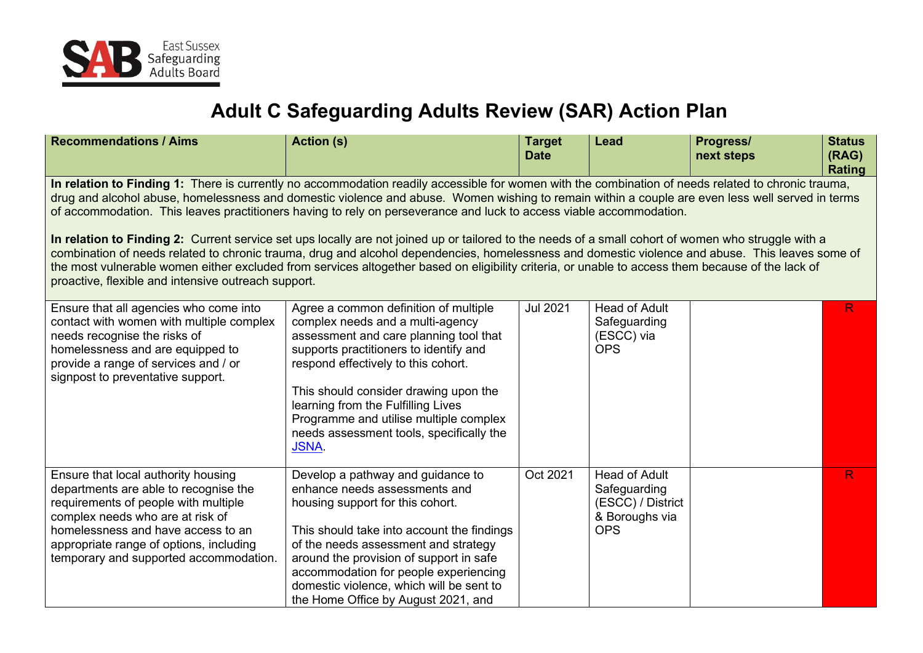

## **Adult C Safeguarding Adults Review (SAR) Action Plan**

| <b>Recommendations / Aims</b>                                                                                                                                                                                                                                                                                                                                                                                                                                                                                       | <b>Action (s)</b>                                                                                                                                                                                                                                                                                                                                                                        | <b>Target</b><br><b>Date</b> | <b>Lead</b>                                                                               | Progress/<br>next steps | <b>Status</b><br>(RAG)<br><b>Rating</b> |  |  |
|---------------------------------------------------------------------------------------------------------------------------------------------------------------------------------------------------------------------------------------------------------------------------------------------------------------------------------------------------------------------------------------------------------------------------------------------------------------------------------------------------------------------|------------------------------------------------------------------------------------------------------------------------------------------------------------------------------------------------------------------------------------------------------------------------------------------------------------------------------------------------------------------------------------------|------------------------------|-------------------------------------------------------------------------------------------|-------------------------|-----------------------------------------|--|--|
| In relation to Finding 1: There is currently no accommodation readily accessible for women with the combination of needs related to chronic trauma,<br>drug and alcohol abuse, homelessness and domestic violence and abuse. Women wishing to remain within a couple are even less well served in terms<br>of accommodation. This leaves practitioners having to rely on perseverance and luck to access viable accommodation.                                                                                      |                                                                                                                                                                                                                                                                                                                                                                                          |                              |                                                                                           |                         |                                         |  |  |
| In relation to Finding 2: Current service set ups locally are not joined up or tailored to the needs of a small cohort of women who struggle with a<br>combination of needs related to chronic trauma, drug and alcohol dependencies, homelessness and domestic violence and abuse. This leaves some of<br>the most vulnerable women either excluded from services altogether based on eligibility criteria, or unable to access them because of the lack of<br>proactive, flexible and intensive outreach support. |                                                                                                                                                                                                                                                                                                                                                                                          |                              |                                                                                           |                         |                                         |  |  |
| Ensure that all agencies who come into<br>contact with women with multiple complex<br>needs recognise the risks of<br>homelessness and are equipped to<br>provide a range of services and / or<br>signpost to preventative support.                                                                                                                                                                                                                                                                                 | Agree a common definition of multiple<br>complex needs and a multi-agency<br>assessment and care planning tool that<br>supports practitioners to identify and<br>respond effectively to this cohort.<br>This should consider drawing upon the<br>learning from the Fulfilling Lives<br>Programme and utilise multiple complex<br>needs assessment tools, specifically the<br><b>JSNA</b> | <b>Jul 2021</b>              | <b>Head of Adult</b><br>Safeguarding<br>(ESCC) via<br><b>OPS</b>                          |                         | R                                       |  |  |
| Ensure that local authority housing<br>departments are able to recognise the<br>requirements of people with multiple<br>complex needs who are at risk of<br>homelessness and have access to an<br>appropriate range of options, including<br>temporary and supported accommodation.                                                                                                                                                                                                                                 | Develop a pathway and guidance to<br>enhance needs assessments and<br>housing support for this cohort.<br>This should take into account the findings<br>of the needs assessment and strategy<br>around the provision of support in safe<br>accommodation for people experiencing<br>domestic violence, which will be sent to<br>the Home Office by August 2021, and                      | Oct 2021                     | <b>Head of Adult</b><br>Safeguarding<br>(ESCC) / District<br>& Boroughs via<br><b>OPS</b> |                         | R                                       |  |  |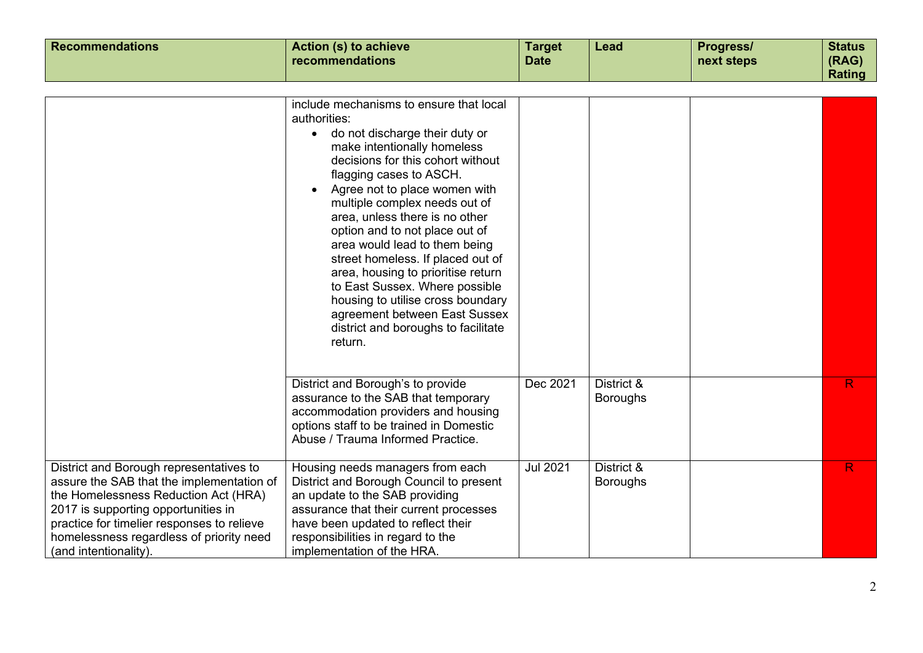| <b>Recommendations</b>                                                                                                                                                                                                                                                                 | <b>Action (s) to achieve</b><br>recommendations                                                                                                                                                                                                                                                                                                                                                                                                                                                                                                                                                        | <b>Target</b><br><b>Date</b> | Lead                          | Progress/<br>next steps | <b>Status</b><br>(RAG) |
|----------------------------------------------------------------------------------------------------------------------------------------------------------------------------------------------------------------------------------------------------------------------------------------|--------------------------------------------------------------------------------------------------------------------------------------------------------------------------------------------------------------------------------------------------------------------------------------------------------------------------------------------------------------------------------------------------------------------------------------------------------------------------------------------------------------------------------------------------------------------------------------------------------|------------------------------|-------------------------------|-------------------------|------------------------|
|                                                                                                                                                                                                                                                                                        |                                                                                                                                                                                                                                                                                                                                                                                                                                                                                                                                                                                                        |                              |                               |                         | Rating                 |
|                                                                                                                                                                                                                                                                                        |                                                                                                                                                                                                                                                                                                                                                                                                                                                                                                                                                                                                        |                              |                               |                         |                        |
|                                                                                                                                                                                                                                                                                        | include mechanisms to ensure that local<br>authorities:<br>• do not discharge their duty or<br>make intentionally homeless<br>decisions for this cohort without<br>flagging cases to ASCH.<br>Agree not to place women with<br>multiple complex needs out of<br>area, unless there is no other<br>option and to not place out of<br>area would lead to them being<br>street homeless. If placed out of<br>area, housing to prioritise return<br>to East Sussex. Where possible<br>housing to utilise cross boundary<br>agreement between East Sussex<br>district and boroughs to facilitate<br>return. |                              |                               |                         |                        |
|                                                                                                                                                                                                                                                                                        | District and Borough's to provide<br>assurance to the SAB that temporary<br>accommodation providers and housing<br>options staff to be trained in Domestic<br>Abuse / Trauma Informed Practice.                                                                                                                                                                                                                                                                                                                                                                                                        | Dec 2021                     | District &<br><b>Boroughs</b> |                         | R.                     |
| District and Borough representatives to<br>assure the SAB that the implementation of<br>the Homelessness Reduction Act (HRA)<br>2017 is supporting opportunities in<br>practice for timelier responses to relieve<br>homelessness regardless of priority need<br>(and intentionality). | Housing needs managers from each<br>District and Borough Council to present<br>an update to the SAB providing<br>assurance that their current processes<br>have been updated to reflect their<br>responsibilities in regard to the<br>implementation of the HRA.                                                                                                                                                                                                                                                                                                                                       | <b>Jul 2021</b>              | District &<br><b>Boroughs</b> |                         | R.                     |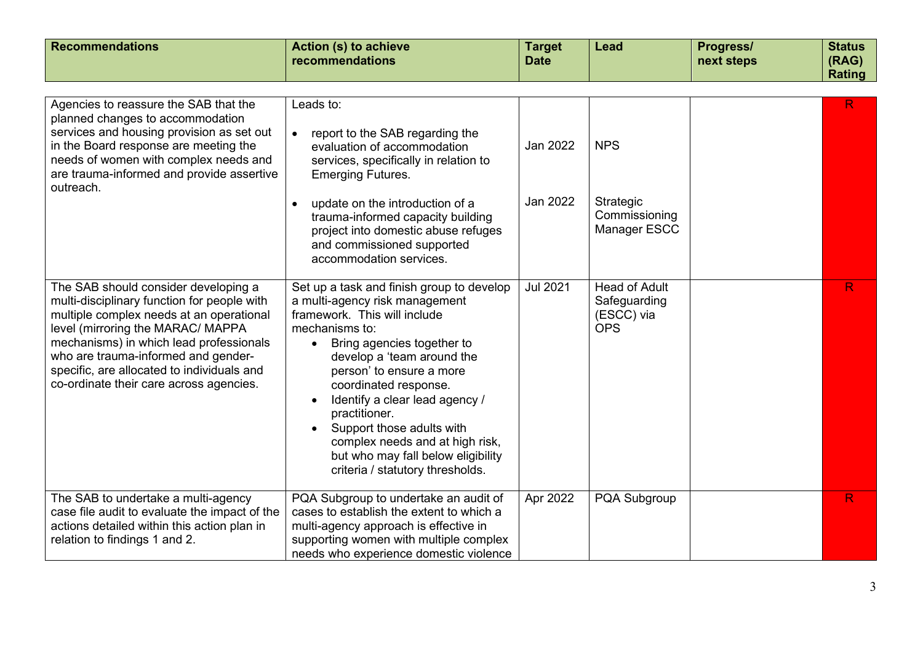| <b>Recommendations</b>                                                                                                                                                                                                                                                                                                                          | <b>Action (s) to achieve</b><br>recommendations                                                                                                                                                                                                                                                                                                                                                                                                                                                               | <b>Target</b><br><b>Date</b> | Lead                                                             | Progress/<br>next steps | <b>Status</b><br>(RAG)<br><b>Rating</b> |
|-------------------------------------------------------------------------------------------------------------------------------------------------------------------------------------------------------------------------------------------------------------------------------------------------------------------------------------------------|---------------------------------------------------------------------------------------------------------------------------------------------------------------------------------------------------------------------------------------------------------------------------------------------------------------------------------------------------------------------------------------------------------------------------------------------------------------------------------------------------------------|------------------------------|------------------------------------------------------------------|-------------------------|-----------------------------------------|
| Agencies to reassure the SAB that the<br>planned changes to accommodation<br>services and housing provision as set out<br>in the Board response are meeting the<br>needs of women with complex needs and<br>are trauma-informed and provide assertive<br>outreach.                                                                              | Leads to:<br>report to the SAB regarding the<br>$\bullet$<br>evaluation of accommodation<br>services, specifically in relation to<br><b>Emerging Futures.</b><br>update on the introduction of a<br>$\bullet$<br>trauma-informed capacity building<br>project into domestic abuse refuges<br>and commissioned supported                                                                                                                                                                                       | Jan 2022<br>Jan 2022         | <b>NPS</b><br>Strategic<br>Commissioning<br>Manager ESCC         |                         | R.                                      |
| The SAB should consider developing a<br>multi-disciplinary function for people with<br>multiple complex needs at an operational<br>level (mirroring the MARAC/ MAPPA<br>mechanisms) in which lead professionals<br>who are trauma-informed and gender-<br>specific, are allocated to individuals and<br>co-ordinate their care across agencies. | accommodation services.<br>Set up a task and finish group to develop<br>a multi-agency risk management<br>framework. This will include<br>mechanisms to:<br>Bring agencies together to<br>$\bullet$<br>develop a 'team around the<br>person' to ensure a more<br>coordinated response.<br>Identify a clear lead agency /<br>$\bullet$<br>practitioner.<br>Support those adults with<br>$\bullet$<br>complex needs and at high risk,<br>but who may fall below eligibility<br>criteria / statutory thresholds. | <b>Jul 2021</b>              | <b>Head of Adult</b><br>Safeguarding<br>(ESCC) via<br><b>OPS</b> |                         | R.                                      |
| The SAB to undertake a multi-agency<br>case file audit to evaluate the impact of the<br>actions detailed within this action plan in<br>relation to findings 1 and 2.                                                                                                                                                                            | PQA Subgroup to undertake an audit of<br>cases to establish the extent to which a<br>multi-agency approach is effective in<br>supporting women with multiple complex<br>needs who experience domestic violence                                                                                                                                                                                                                                                                                                | Apr 2022                     | PQA Subgroup                                                     |                         | R                                       |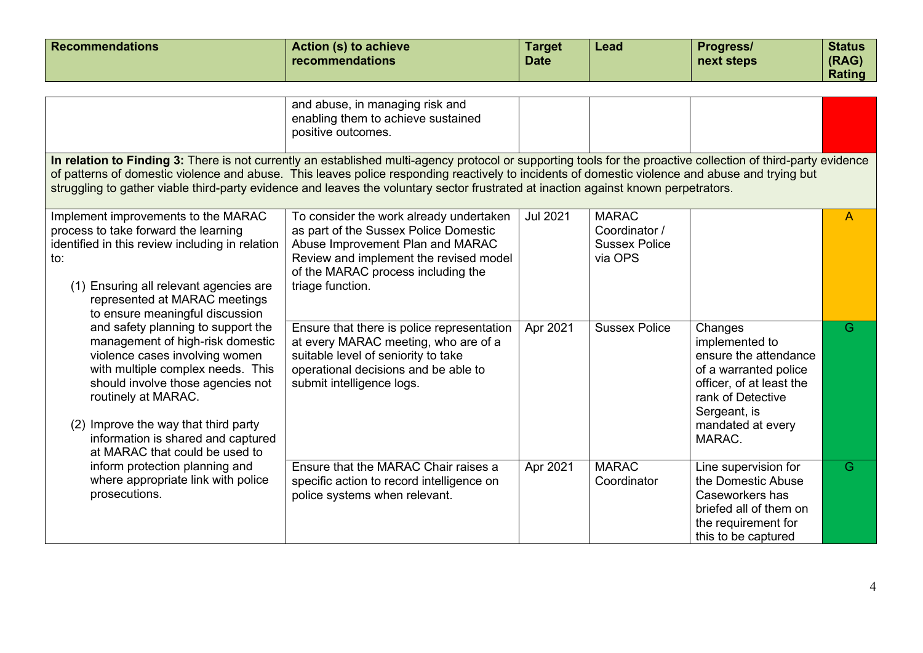| <b>Recommendations</b>                                                                                                                                                                                                                                                                                                    | <b>Action (s) to achieve</b><br>recommendations                                                                                                                                                                                                                                                                                                                                                                                                          | <b>Target</b><br><b>Date</b> | Lead                                                             | Progress/<br>next steps                                                                                                                                                     | <b>Status</b><br>(RAG)<br><b>Rating</b> |
|---------------------------------------------------------------------------------------------------------------------------------------------------------------------------------------------------------------------------------------------------------------------------------------------------------------------------|----------------------------------------------------------------------------------------------------------------------------------------------------------------------------------------------------------------------------------------------------------------------------------------------------------------------------------------------------------------------------------------------------------------------------------------------------------|------------------------------|------------------------------------------------------------------|-----------------------------------------------------------------------------------------------------------------------------------------------------------------------------|-----------------------------------------|
|                                                                                                                                                                                                                                                                                                                           | and abuse, in managing risk and<br>enabling them to achieve sustained<br>positive outcomes.                                                                                                                                                                                                                                                                                                                                                              |                              |                                                                  |                                                                                                                                                                             |                                         |
|                                                                                                                                                                                                                                                                                                                           | In relation to Finding 3: There is not currently an established multi-agency protocol or supporting tools for the proactive collection of third-party evidence<br>of patterns of domestic violence and abuse. This leaves police responding reactively to incidents of domestic violence and abuse and trying but<br>struggling to gather viable third-party evidence and leaves the voluntary sector frustrated at inaction against known perpetrators. |                              |                                                                  |                                                                                                                                                                             |                                         |
| Implement improvements to the MARAC<br>process to take forward the learning<br>identified in this review including in relation<br>to:<br>(1) Ensuring all relevant agencies are<br>represented at MARAC meetings<br>to ensure meaningful discussion                                                                       | To consider the work already undertaken<br>as part of the Sussex Police Domestic<br>Abuse Improvement Plan and MARAC<br>Review and implement the revised model<br>of the MARAC process including the<br>triage function.                                                                                                                                                                                                                                 | <b>Jul 2021</b>              | <b>MARAC</b><br>Coordinator /<br><b>Sussex Police</b><br>via OPS |                                                                                                                                                                             | A                                       |
| and safety planning to support the<br>management of high-risk domestic<br>violence cases involving women<br>with multiple complex needs. This<br>should involve those agencies not<br>routinely at MARAC.<br>(2) Improve the way that third party<br>information is shared and captured<br>at MARAC that could be used to | Ensure that there is police representation<br>at every MARAC meeting, who are of a<br>suitable level of seniority to take<br>operational decisions and be able to<br>submit intelligence logs.                                                                                                                                                                                                                                                           | Apr 2021                     | <b>Sussex Police</b>                                             | Changes<br>implemented to<br>ensure the attendance<br>of a warranted police<br>officer, of at least the<br>rank of Detective<br>Sergeant, is<br>mandated at every<br>MARAC. | G                                       |
| inform protection planning and<br>where appropriate link with police<br>prosecutions.                                                                                                                                                                                                                                     | Ensure that the MARAC Chair raises a<br>specific action to record intelligence on<br>police systems when relevant.                                                                                                                                                                                                                                                                                                                                       | Apr 2021                     | <b>MARAC</b><br>Coordinator                                      | Line supervision for<br>the Domestic Abuse<br>Caseworkers has<br>briefed all of them on<br>the requirement for<br>this to be captured                                       | G                                       |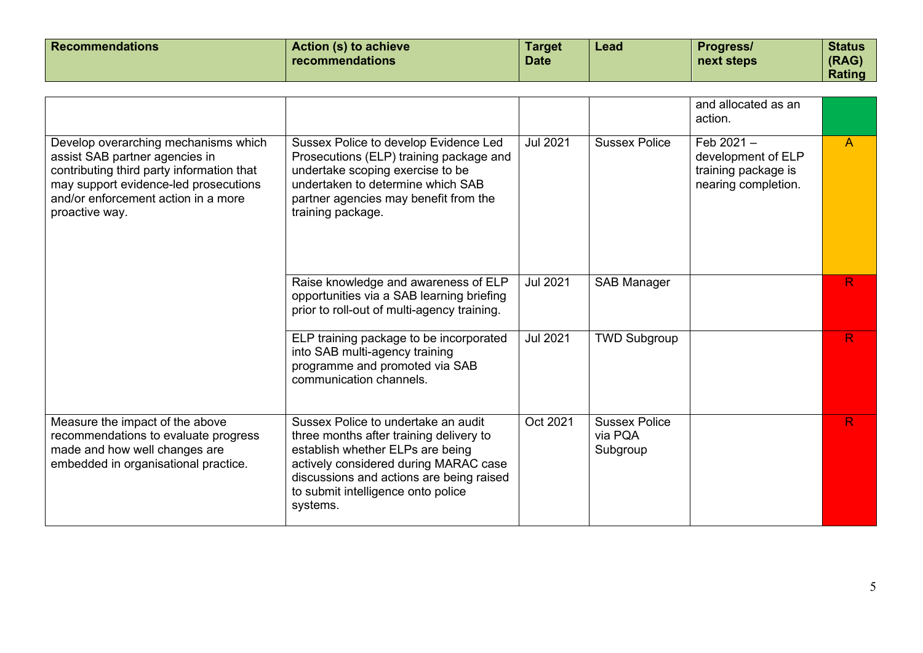| <b>Recommendations</b> | Action (s) to achieve<br>recommendations | <b>Target</b><br><b>Date</b> | Lead | <b>Progress/</b><br>next steps | <b>Status</b><br>(RAG) |
|------------------------|------------------------------------------|------------------------------|------|--------------------------------|------------------------|
|                        |                                          |                              |      |                                | Rating                 |

|                                                                                                                                                                                                                       |                                                                                                                                                                                                                                                           |                 |                                             | and allocated as an<br>action.                                                   |                |
|-----------------------------------------------------------------------------------------------------------------------------------------------------------------------------------------------------------------------|-----------------------------------------------------------------------------------------------------------------------------------------------------------------------------------------------------------------------------------------------------------|-----------------|---------------------------------------------|----------------------------------------------------------------------------------|----------------|
| Develop overarching mechanisms which<br>assist SAB partner agencies in<br>contributing third party information that<br>may support evidence-led prosecutions<br>and/or enforcement action in a more<br>proactive way. | Sussex Police to develop Evidence Led<br>Prosecutions (ELP) training package and<br>undertake scoping exercise to be<br>undertaken to determine which SAB<br>partner agencies may benefit from the<br>training package.                                   | <b>Jul 2021</b> | <b>Sussex Police</b>                        | Feb $2021 -$<br>development of ELP<br>training package is<br>nearing completion. | $\overline{A}$ |
|                                                                                                                                                                                                                       | Raise knowledge and awareness of ELP<br>opportunities via a SAB learning briefing<br>prior to roll-out of multi-agency training.                                                                                                                          | <b>Jul 2021</b> | <b>SAB Manager</b>                          |                                                                                  | R              |
|                                                                                                                                                                                                                       | ELP training package to be incorporated<br>into SAB multi-agency training<br>programme and promoted via SAB<br>communication channels.                                                                                                                    | <b>Jul 2021</b> | <b>TWD Subgroup</b>                         |                                                                                  | R              |
| Measure the impact of the above<br>recommendations to evaluate progress<br>made and how well changes are<br>embedded in organisational practice.                                                                      | Sussex Police to undertake an audit<br>three months after training delivery to<br>establish whether ELPs are being<br>actively considered during MARAC case<br>discussions and actions are being raised<br>to submit intelligence onto police<br>systems. | Oct 2021        | <b>Sussex Police</b><br>via PQA<br>Subgroup |                                                                                  | R              |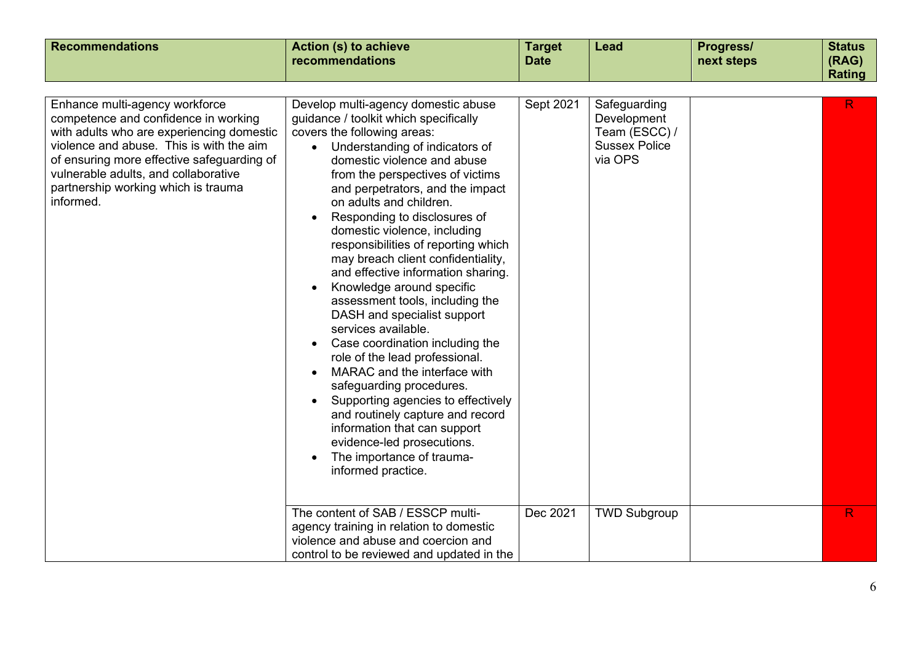| <b>Recommendations</b>                                                                                                                                                                                                                                                                                    | <b>Action (s) to achieve</b><br>recommendations                                                                                                                                                                                                                                                                                                                                                                                                                                                                                                                                                                                                                                                                                                                                                                                                                                                                                                                          | <b>Target</b><br><b>Date</b> | Lead                                                                                                   | Progress/<br>next steps | <b>Status</b><br>(RAG)<br>Rating |
|-----------------------------------------------------------------------------------------------------------------------------------------------------------------------------------------------------------------------------------------------------------------------------------------------------------|--------------------------------------------------------------------------------------------------------------------------------------------------------------------------------------------------------------------------------------------------------------------------------------------------------------------------------------------------------------------------------------------------------------------------------------------------------------------------------------------------------------------------------------------------------------------------------------------------------------------------------------------------------------------------------------------------------------------------------------------------------------------------------------------------------------------------------------------------------------------------------------------------------------------------------------------------------------------------|------------------------------|--------------------------------------------------------------------------------------------------------|-------------------------|----------------------------------|
| Enhance multi-agency workforce<br>competence and confidence in working<br>with adults who are experiencing domestic<br>violence and abuse. This is with the aim<br>of ensuring more effective safeguarding of<br>vulnerable adults, and collaborative<br>partnership working which is trauma<br>informed. | Develop multi-agency domestic abuse<br>guidance / toolkit which specifically<br>covers the following areas:<br>• Understanding of indicators of<br>domestic violence and abuse<br>from the perspectives of victims<br>and perpetrators, and the impact<br>on adults and children.<br>Responding to disclosures of<br>domestic violence, including<br>responsibilities of reporting which<br>may breach client confidentiality,<br>and effective information sharing.<br>Knowledge around specific<br>assessment tools, including the<br>DASH and specialist support<br>services available.<br>Case coordination including the<br>$\bullet$<br>role of the lead professional.<br>MARAC and the interface with<br>safeguarding procedures.<br>Supporting agencies to effectively<br>and routinely capture and record<br>information that can support<br>evidence-led prosecutions.<br>The importance of trauma-<br>informed practice.<br>The content of SAB / ESSCP multi- | Sept 2021<br>Dec 2021        | Safeguarding<br>Development<br>Team (ESCC) /<br><b>Sussex Police</b><br>via OPS<br><b>TWD Subgroup</b> |                         | R<br>R                           |
|                                                                                                                                                                                                                                                                                                           | agency training in relation to domestic<br>violence and abuse and coercion and<br>control to be reviewed and updated in the                                                                                                                                                                                                                                                                                                                                                                                                                                                                                                                                                                                                                                                                                                                                                                                                                                              |                              |                                                                                                        |                         |                                  |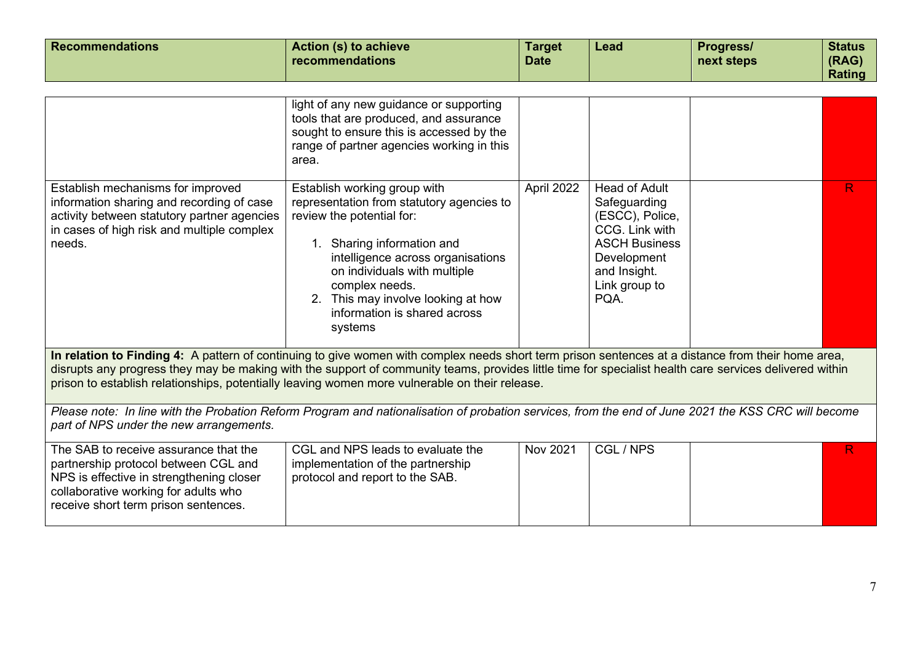| <b>Recommendations</b>                                                                                                                                                                                                                                                                                                                                                                                          | <b>Action (s) to achieve</b><br>recommendations                                                                                                                                                                                                                                                              | <b>Target</b><br><b>Date</b> | <b>Lead</b>                                                                                                                                               | Progress/<br>next steps | <b>Status</b><br>(RAG)<br><b>Rating</b> |
|-----------------------------------------------------------------------------------------------------------------------------------------------------------------------------------------------------------------------------------------------------------------------------------------------------------------------------------------------------------------------------------------------------------------|--------------------------------------------------------------------------------------------------------------------------------------------------------------------------------------------------------------------------------------------------------------------------------------------------------------|------------------------------|-----------------------------------------------------------------------------------------------------------------------------------------------------------|-------------------------|-----------------------------------------|
|                                                                                                                                                                                                                                                                                                                                                                                                                 | light of any new guidance or supporting<br>tools that are produced, and assurance<br>sought to ensure this is accessed by the<br>range of partner agencies working in this<br>area.                                                                                                                          |                              |                                                                                                                                                           |                         |                                         |
| Establish mechanisms for improved<br>information sharing and recording of case<br>activity between statutory partner agencies<br>in cases of high risk and multiple complex<br>needs.                                                                                                                                                                                                                           | Establish working group with<br>representation from statutory agencies to<br>review the potential for:<br>1. Sharing information and<br>intelligence across organisations<br>on individuals with multiple<br>complex needs.<br>2. This may involve looking at how<br>information is shared across<br>systems | April 2022                   | <b>Head of Adult</b><br>Safeguarding<br>(ESCC), Police,<br>CCG. Link with<br><b>ASCH Business</b><br>Development<br>and Insight.<br>Link group to<br>PQA. |                         | R                                       |
| In relation to Finding 4: A pattern of continuing to give women with complex needs short term prison sentences at a distance from their home area,<br>disrupts any progress they may be making with the support of community teams, provides little time for specialist health care services delivered within<br>prison to establish relationships, potentially leaving women more vulnerable on their release. |                                                                                                                                                                                                                                                                                                              |                              |                                                                                                                                                           |                         |                                         |
| Please note: In line with the Probation Reform Program and nationalisation of probation services, from the end of June 2021 the KSS CRC will become<br>part of NPS under the new arrangements.                                                                                                                                                                                                                  |                                                                                                                                                                                                                                                                                                              |                              |                                                                                                                                                           |                         |                                         |
| The SAB to receive assurance that the<br>partnership protocol between CGL and<br>NPS is effective in strengthening closer<br>collaborative working for adults who<br>receive short term prison sentences.                                                                                                                                                                                                       | CGL and NPS leads to evaluate the<br>implementation of the partnership<br>protocol and report to the SAB.                                                                                                                                                                                                    | Nov 2021                     | CGL / NPS                                                                                                                                                 |                         | R.                                      |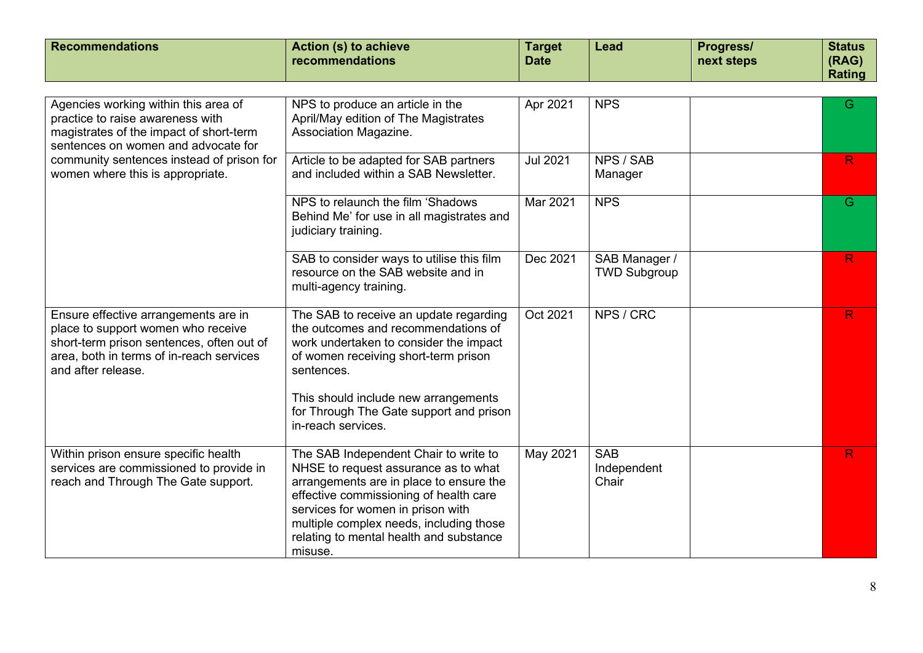| <b>Recommendations</b>                                                                                                                                                                    | <b>Action (s) to achieve</b><br>recommendations                                                                                                                                                                                                                                                          | <b>Target</b><br><b>Date</b> | <b>Lead</b>                          | Progress/<br>next steps | <b>Status</b><br>(RAG)<br><b>Rating</b> |
|-------------------------------------------------------------------------------------------------------------------------------------------------------------------------------------------|----------------------------------------------------------------------------------------------------------------------------------------------------------------------------------------------------------------------------------------------------------------------------------------------------------|------------------------------|--------------------------------------|-------------------------|-----------------------------------------|
|                                                                                                                                                                                           |                                                                                                                                                                                                                                                                                                          |                              |                                      |                         |                                         |
| Agencies working within this area of<br>practice to raise awareness with<br>magistrates of the impact of short-term<br>sentences on women and advocate for                                | NPS to produce an article in the<br>April/May edition of The Magistrates<br>Association Magazine.                                                                                                                                                                                                        | Apr 2021                     | <b>NPS</b>                           |                         | G                                       |
| community sentences instead of prison for<br>women where this is appropriate.                                                                                                             | Article to be adapted for SAB partners<br>and included within a SAB Newsletter.                                                                                                                                                                                                                          | <b>Jul 2021</b>              | NPS / SAB<br>Manager                 |                         | R                                       |
|                                                                                                                                                                                           | NPS to relaunch the film 'Shadows<br>Behind Me' for use in all magistrates and<br>judiciary training.                                                                                                                                                                                                    | Mar 2021                     | <b>NPS</b>                           |                         | G                                       |
|                                                                                                                                                                                           | SAB to consider ways to utilise this film<br>resource on the SAB website and in<br>multi-agency training.                                                                                                                                                                                                | Dec 2021                     | SAB Manager /<br><b>TWD Subgroup</b> |                         | R                                       |
| Ensure effective arrangements are in<br>place to support women who receive<br>short-term prison sentences, often out of<br>area, both in terms of in-reach services<br>and after release. | The SAB to receive an update regarding<br>the outcomes and recommendations of<br>work undertaken to consider the impact<br>of women receiving short-term prison<br>sentences.<br>This should include new arrangements<br>for Through The Gate support and prison<br>in-reach services.                   | Oct 2021                     | NPS / CRC                            |                         | R                                       |
| Within prison ensure specific health<br>services are commissioned to provide in<br>reach and Through The Gate support.                                                                    | The SAB Independent Chair to write to<br>NHSE to request assurance as to what<br>arrangements are in place to ensure the<br>effective commissioning of health care<br>services for women in prison with<br>multiple complex needs, including those<br>relating to mental health and substance<br>misuse. | May 2021                     | <b>SAB</b><br>Independent<br>Chair   |                         | R                                       |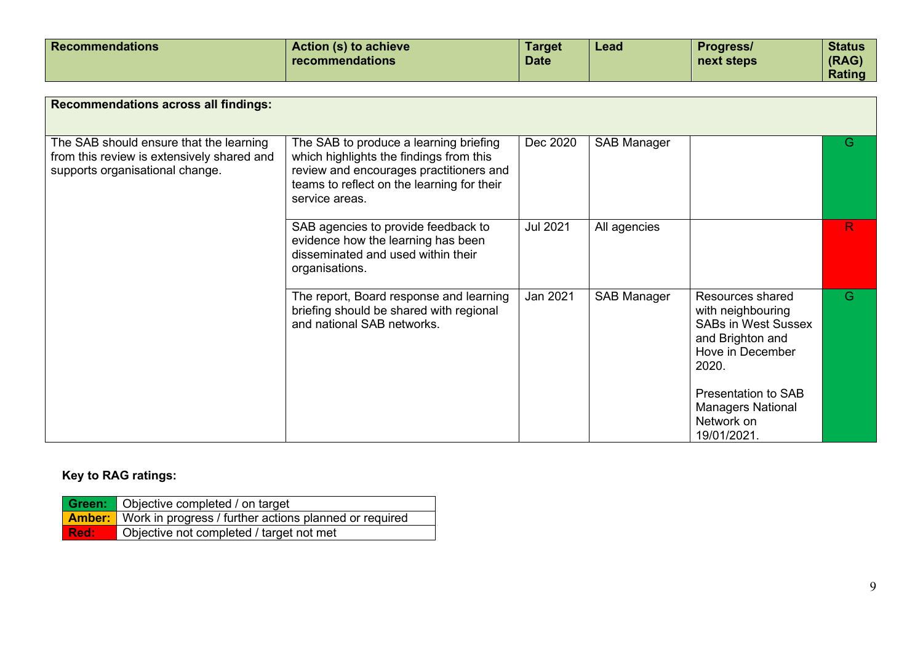| <b>Recommendations</b>                                                                                                   | Action (s) to achieve<br>recommendations                                                                                                                                                     | <b>Target</b><br><b>Date</b> | Lead               | Progress/<br>next steps                                                                                              | <b>Status</b><br>(RAG)<br><b>Rating</b> |
|--------------------------------------------------------------------------------------------------------------------------|----------------------------------------------------------------------------------------------------------------------------------------------------------------------------------------------|------------------------------|--------------------|----------------------------------------------------------------------------------------------------------------------|-----------------------------------------|
| <b>Recommendations across all findings:</b>                                                                              |                                                                                                                                                                                              |                              |                    |                                                                                                                      |                                         |
| The SAB should ensure that the learning<br>from this review is extensively shared and<br>supports organisational change. | The SAB to produce a learning briefing<br>which highlights the findings from this<br>review and encourages practitioners and<br>teams to reflect on the learning for their<br>service areas. | Dec 2020                     | <b>SAB Manager</b> |                                                                                                                      | G                                       |
|                                                                                                                          | SAB agencies to provide feedback to<br>evidence how the learning has been<br>disseminated and used within their<br>organisations.                                                            | <b>Jul 2021</b>              | All agencies       |                                                                                                                      | R.                                      |
|                                                                                                                          | The report, Board response and learning<br>briefing should be shared with regional<br>and national SAB networks.                                                                             | Jan 2021                     | <b>SAB Manager</b> | Resources shared<br>with neighbouring<br><b>SABs in West Sussex</b><br>and Brighton and<br>Hove in December<br>2020. | G                                       |
|                                                                                                                          |                                                                                                                                                                                              |                              |                    | <b>Presentation to SAB</b><br><b>Managers National</b><br>Network on                                                 |                                         |

## **Key to RAG ratings:**

|          | <b>Green:</b> Objective completed / on target                        |
|----------|----------------------------------------------------------------------|
|          | <b>Amber:</b> Work in progress / further actions planned or required |
| l Red: . | Objective not completed / target not met                             |

19/01/2021.